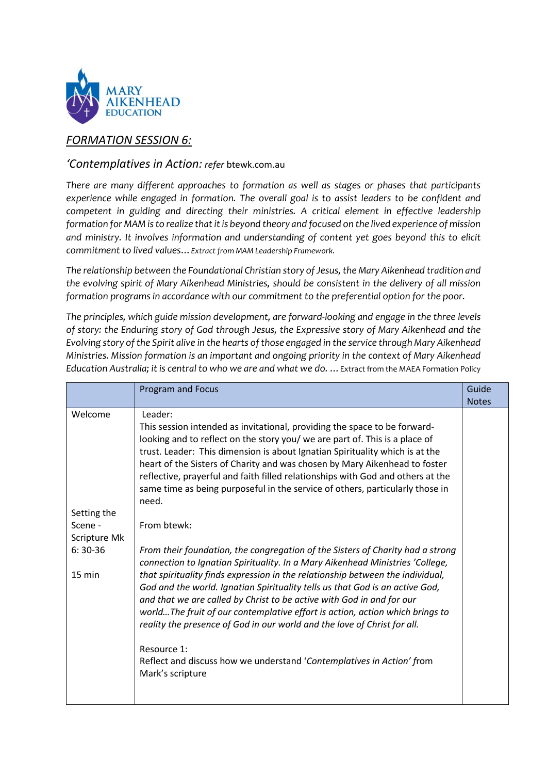

# *FORMATION SESSION 6:*

## *'Contemplatives in Action: refer* btewk.com.au

*There are many different approaches to formation as well as stages or phases that participants experience while engaged in formation. The overall goal is to assist leaders to be confident and competent in guiding and directing their ministries. A critical element in effective leadership formation for MAM is to realize that it is beyond theory and focused on the lived experience of mission and ministry. It involves information and understanding of content yet goes beyond this to elicit commitment to lived values…Extract from MAM Leadership Framework.* 

*The relationship between the Foundational Christian story of Jesus, the Mary Aikenhead tradition and the evolving spirit of Mary Aikenhead Ministries, should be consistent in the delivery of all mission formation programs in accordance with our commitment to the preferential option for the poor.*

*The principles, which guide mission development, are forward-looking and engage in the three levels of story: the Enduring story of God through Jesus, the Expressive story of Mary Aikenhead and the Evolving story of the Spirit alive in the hearts of those engaged in the service through Mary Aikenhead Ministries. Mission formation is an important and ongoing priority in the context of Mary Aikenhead Education Australia; it is central to who we are and what we do. …*Extract from the MAEA Formation Policy

|                                                                                    | <b>Program and Focus</b>                                                                                                                                                                                                                                                                                                                                                                                                                                                                                                                                                                                                                                                                                                                                                                                                                                                                                                                                                                                                                                                                                                                                                                                            | Guide        |
|------------------------------------------------------------------------------------|---------------------------------------------------------------------------------------------------------------------------------------------------------------------------------------------------------------------------------------------------------------------------------------------------------------------------------------------------------------------------------------------------------------------------------------------------------------------------------------------------------------------------------------------------------------------------------------------------------------------------------------------------------------------------------------------------------------------------------------------------------------------------------------------------------------------------------------------------------------------------------------------------------------------------------------------------------------------------------------------------------------------------------------------------------------------------------------------------------------------------------------------------------------------------------------------------------------------|--------------|
|                                                                                    |                                                                                                                                                                                                                                                                                                                                                                                                                                                                                                                                                                                                                                                                                                                                                                                                                                                                                                                                                                                                                                                                                                                                                                                                                     | <b>Notes</b> |
| Welcome<br>Setting the<br>Scene -<br>Scripture Mk<br>$6:30-36$<br>$15 \text{ min}$ | Leader:<br>This session intended as invitational, providing the space to be forward-<br>looking and to reflect on the story you/ we are part of. This is a place of<br>trust. Leader: This dimension is about Ignatian Spirituality which is at the<br>heart of the Sisters of Charity and was chosen by Mary Aikenhead to foster<br>reflective, prayerful and faith filled relationships with God and others at the<br>same time as being purposeful in the service of others, particularly those in<br>need.<br>From btewk:<br>From their foundation, the congregation of the Sisters of Charity had a strong<br>connection to Ignatian Spirituality. In a Mary Aikenhead Ministries 'College,<br>that spirituality finds expression in the relationship between the individual,<br>God and the world. Ignatian Spirituality tells us that God is an active God,<br>and that we are called by Christ to be active with God in and for our<br>worldThe fruit of our contemplative effort is action, action which brings to<br>reality the presence of God in our world and the love of Christ for all.<br>Resource 1:<br>Reflect and discuss how we understand 'Contemplatives in Action' from<br>Mark's scripture |              |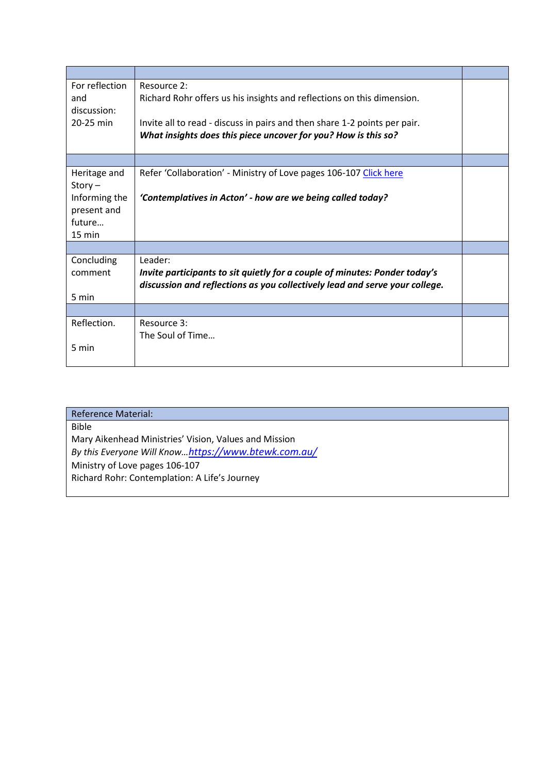| For reflection<br>and<br>discussion:<br>20-25 min                                       | Resource 2:<br>Richard Rohr offers us his insights and reflections on this dimension.<br>Invite all to read - discuss in pairs and then share 1-2 points per pair.<br>What insights does this piece uncover for you? How is this so? |  |
|-----------------------------------------------------------------------------------------|--------------------------------------------------------------------------------------------------------------------------------------------------------------------------------------------------------------------------------------|--|
|                                                                                         |                                                                                                                                                                                                                                      |  |
| Heritage and<br>$Story -$<br>Informing the<br>present and<br>future<br>$15 \text{ min}$ | Refer 'Collaboration' - Ministry of Love pages 106-107 Click here<br>'Contemplatives in Acton' - how are we being called today?                                                                                                      |  |
|                                                                                         |                                                                                                                                                                                                                                      |  |
| Concluding<br>comment<br>5 min                                                          | Leader:<br>Invite participants to sit quietly for a couple of minutes: Ponder today's<br>discussion and reflections as you collectively lead and serve your college.                                                                 |  |
|                                                                                         |                                                                                                                                                                                                                                      |  |
| Reflection.<br>5 min                                                                    | Resource 3:<br>The Soul of Time                                                                                                                                                                                                      |  |

| <b>Reference Material:</b>                            |  |
|-------------------------------------------------------|--|
| <b>Bible</b>                                          |  |
| Mary Aikenhead Ministries' Vision, Values and Mission |  |
| By this Everyone Will Knowhttps://www.btewk.com.au/   |  |
| Ministry of Love pages 106-107                        |  |
| Richard Rohr: Contemplation: A Life's Journey         |  |
|                                                       |  |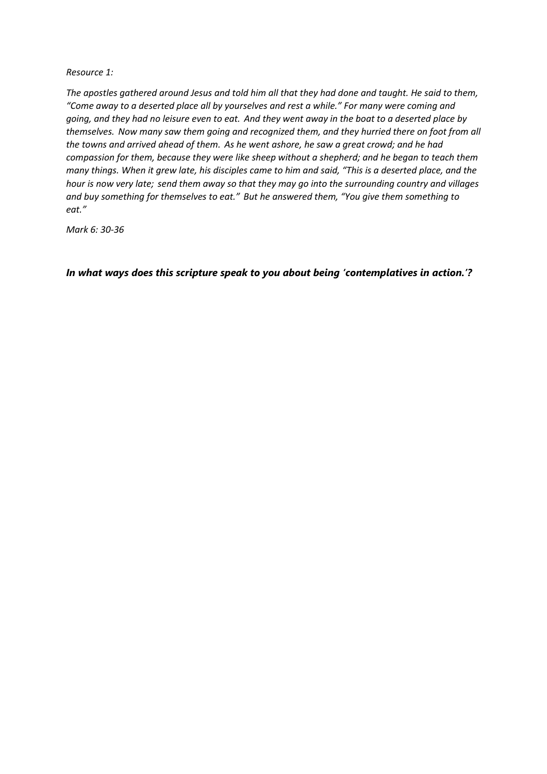### *Resource 1:*

*The apostles gathered around Jesus and told him all that they had done and taught. He said to them, "Come away to a deserted place all by yourselves and rest a while." For many were coming and going, and they had no leisure even to eat. And they went away in the boat to a deserted place by themselves. Now many saw them going and recognized them, and they hurried there on foot from all the towns and arrived ahead of them. As he went ashore, he saw a great crowd; and he had compassion for them, because they were like sheep without a shepherd; and he began to teach them many things. When it grew late, his disciples came to him and said, "This is a deserted place, and the hour is now very late; send them away so that they may go into the surrounding country and villages and buy something for themselves to eat." But he answered them, "You give them something to eat."* 

*Mark 6: 30-36* 

*In what ways does this scripture speak to you about being 'contemplatives in action.'?*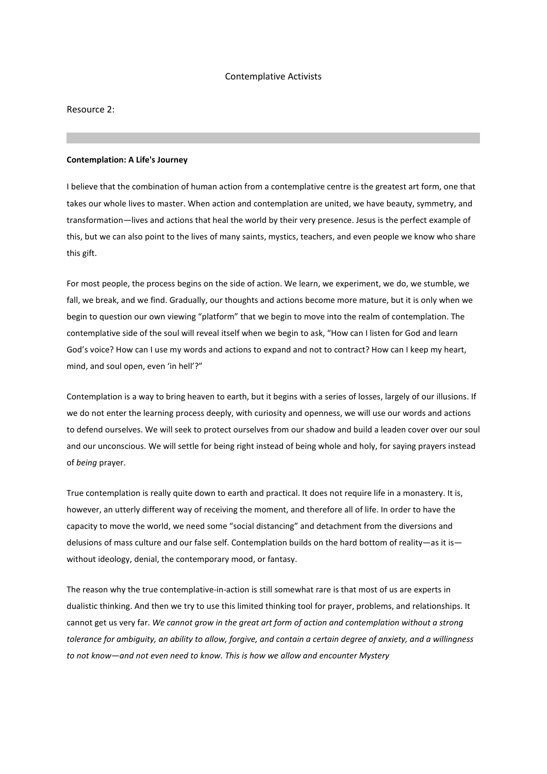#### Contemplative Activists

Resource 2:

#### **Contemplation: A Life's Journey**

I believe that the combination of human action from a contemplative centre is the greatest art form, one that takes our whole lives to master. When action and contemplation are united, we have beauty, symmetry, and transformation—lives and actions that heal the world by their very presence. Jesus is the perfect example of this, but we can also point to the lives of many saints, mystics, teachers, and even people we know who share this gift.

For most people, the process begins on the side of action. We learn, we experiment, we do, we stumble, we fall, we break, and we find. Gradually, our thoughts and actions become more mature, but it is only when we begin to question our own viewing "platform" that we begin to move into the realm of contemplation. The contemplative side of the soul will reveal itself when we begin to ask, "How can I listen for God and learn God's voice? How can I use my words and actions to expand and not to contract? How can I keep my heart, mind, and soul open, even 'in hell'?"

Contemplation is a way to bring heaven to earth, but it begins with a series of losses, largely of our illusions. If we do not enter the learning process deeply, with curiosity and openness, we will use our words and actions to defend ourselves. We will seek to protect ourselves from our shadow and build a leaden cover over our soul and our unconscious. We will settle for being right instead of being whole and holy, for saying prayers instead of *being* prayer.

True contemplation is really quite down to earth and practical. It does not require life in a monastery. It is, however, an utterly different way of receiving the moment, and therefore all of life. In order to have the capacity to move the world, we need some "social distancing" and detachment from the diversions and delusions of mass culture and our false self. Contemplation builds on the hard bottom of reality—as it is without ideology, denial, the contemporary mood, or fantasy.

The reason why the true contemplative-in-action is still somewhat rare is that most of us are experts in dualistic thinking. And then we try to use this limited thinking tool for prayer, problems, and relationships. It cannot get us very far. *We cannot grow in the great art form of action and contemplation without a strong tolerance for ambiguity, an ability to allow, forgive, and contain a certain degree of anxiety, and a willingness to not know—and not even need to know. This is how we allow and encounter Mystery*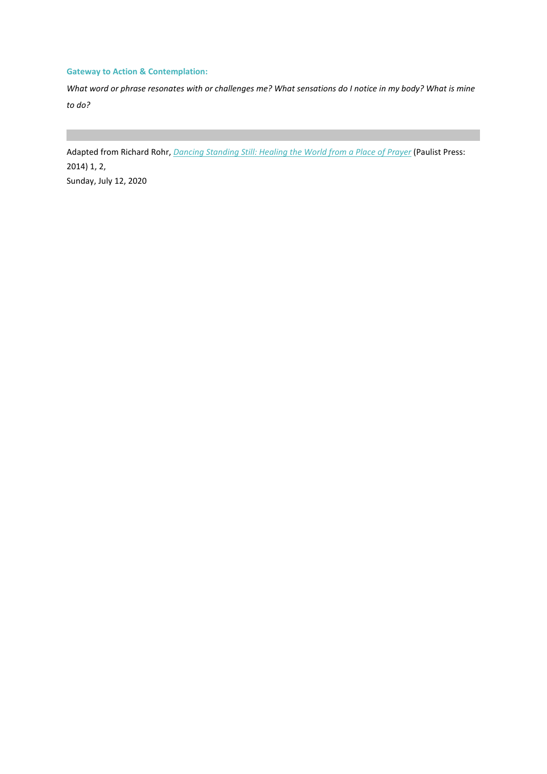### **Gateway to Action & Contemplation:**

*What word or phrase resonates with or challenges me? What sensations do I notice in my body? What is mine to do?*

Adapted from Richard Rohr, *[Dancing Standing Still: Healing the World from a Place of Prayer](https://email.cac.org/t/d-l-muralk-tlkrdyuhs-t/)* (Paulist Press: 2014) 1, 2, Sunday, July 12, 2020